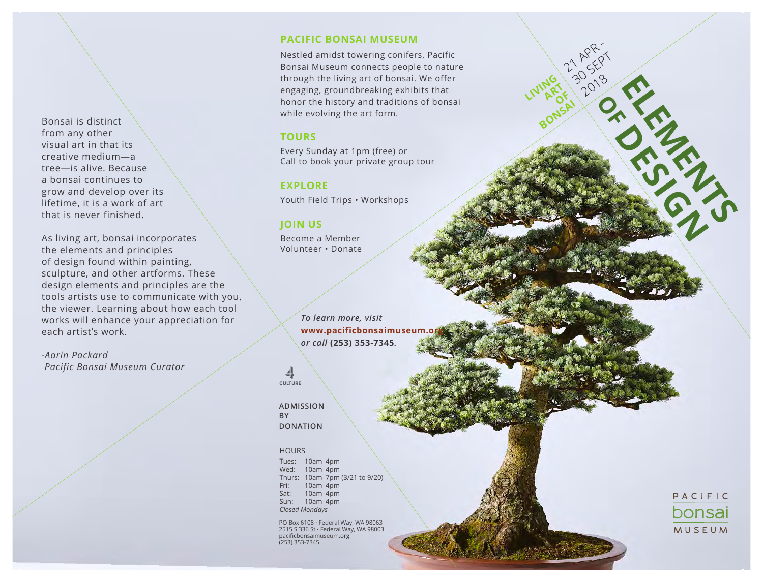Bonsai is distinct from any other visual art in that its creative medium—a tree—is alive. Because a bonsai continues to grow and develop over its lifetime, it is a work of art that is never finished.

As living art, bonsai incorporates the elements and principles of design found within painting, sculpture, and other artforms. These design elements and principles are the tools artists use to communicate with you, the viewer. Learning about how each tool works will enhance your appreciation for each artist's work.

*-Aarin Packard Pacific Bonsai Museum Curator*

### **Pacific Bonsai Museum**

Nestled amidst towering conifers, Pacific Bonsai Museum connects people to nature through the living art of bonsai. We offer engaging, groundbreaking exhibits that honor the history and traditions of bonsai while evolving the art form.

**LIVING ART**  $\delta_{\lambda}^{\mathsf{K}}$ 

21 APR -1 AV 127

2018

**BONSAI ON THE SURGERY OF THE SAME OF THE SAME OF THE SAME OF THE SAME OF THE SAME OF THE SAME OF THE SAME OF THE SAME OF THE SAME OF THE SAME OF THE SAME OF THE SAME OF THE SAME OF THE SAME OF THE SAME OF THE SAME OF THE** 

**OF CHILIDAY** 

## **Tours**

Every Sunday at 1pm (free) or Call to book your private group tour

# **EXPLORE**

Youth Field Trips • Workshops

# **JOIN US**

Become a Member Volunteer • Donate

> *To learn more, visit*  www.pacificbonsaimuseum.o *or call* **(253) 353-7345***.*

4 **CULTURE** 

**Admission by donation**

#### **HOURS**

Tues: 10am–4pm Wed: 10am–4pm Thurs: 10am–7pm (3/21 to 9/20) Fri: 10am–4pm Sat: 10am–4pm Sun: 10am–4pm *Closed Mondays*

PO Box 6108 • Federal Way, WA 98063 2515 S 336 St • Federal Way, WA 98003 pacificbonsaimuseum.org (253) 353-7345

PACIFIC bonsai **MUSEUM**